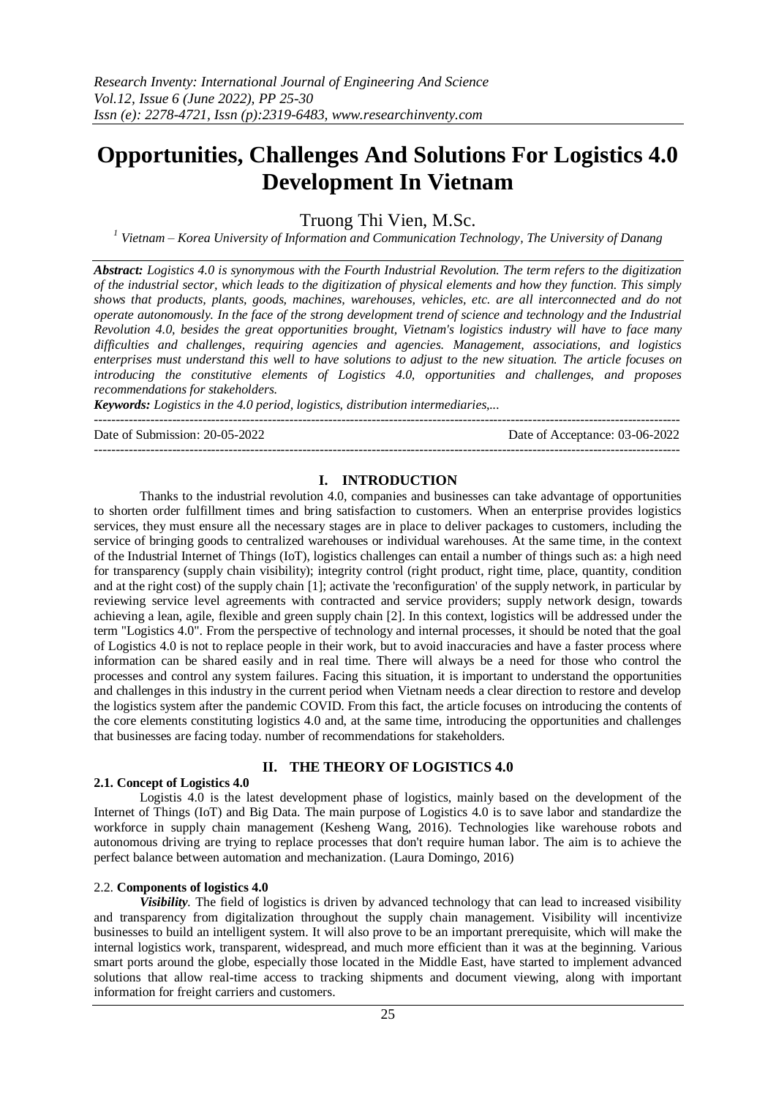# **Opportunities, Challenges And Solutions For Logistics 4.0 Development In Vietnam**

Truong Thi Vien, M.Sc.

*<sup>1</sup> Vietnam – Korea University of Information and Communication Technology, The University of Danang*

*Abstract: Logistics 4.0 is synonymous with the Fourth Industrial Revolution. The term refers to the digitization of the industrial sector, which leads to the digitization of physical elements and how they function. This simply shows that products, plants, goods, machines, warehouses, vehicles, etc. are all interconnected and do not operate autonomously. In the face of the strong development trend of science and technology and the Industrial Revolution 4.0, besides the great opportunities brought, Vietnam's logistics industry will have to face many difficulties and challenges, requiring agencies and agencies. Management, associations, and logistics enterprises must understand this well to have solutions to adjust to the new situation. The article focuses on introducing the constitutive elements of Logistics 4.0, opportunities and challenges, and proposes recommendations for stakeholders.*

*Keywords: Logistics in the 4.0 period, logistics, distribution intermediaries,...*

Date of Submission: 20-05-2022 Date of Acceptance: 03-06-2022

# **I. INTRODUCTION**

---------------------------------------------------------------------------------------------------------------------------------------

---------------------------------------------------------------------------------------------------------------------------------------

Thanks to the industrial revolution 4.0, companies and businesses can take advantage of opportunities to shorten order fulfillment times and bring satisfaction to customers. When an enterprise provides logistics services, they must ensure all the necessary stages are in place to deliver packages to customers, including the service of bringing goods to centralized warehouses or individual warehouses. At the same time, in the context of the Industrial Internet of Things (IoT), logistics challenges can entail a number of things such as: a high need for transparency (supply chain visibility); integrity control (right product, right time, place, quantity, condition and at the right cost) of the supply chain [1]; activate the 'reconfiguration' of the supply network, in particular by reviewing service level agreements with contracted and service providers; supply network design, towards achieving a lean, agile, flexible and green supply chain [2]. In this context, logistics will be addressed under the term "Logistics 4.0". From the perspective of technology and internal processes, it should be noted that the goal of Logistics 4.0 is not to replace people in their work, but to avoid inaccuracies and have a faster process where information can be shared easily and in real time. There will always be a need for those who control the processes and control any system failures. Facing this situation, it is important to understand the opportunities and challenges in this industry in the current period when Vietnam needs a clear direction to restore and develop the logistics system after the pandemic COVID. From this fact, the article focuses on introducing the contents of the core elements constituting logistics 4.0 and, at the same time, introducing the opportunities and challenges that businesses are facing today. number of recommendations for stakeholders.

# **II. THE THEORY OF LOGISTICS 4.0**

# **2.1. Concept of Logistics 4.0**

Logistis 4.0 is the latest development phase of logistics, mainly based on the development of the Internet of Things (IoT) and Big Data. The main purpose of Logistics 4.0 is to save labor and standardize the workforce in supply chain management (Kesheng Wang, 2016). Technologies like warehouse robots and autonomous driving are trying to replace processes that don't require human labor. The aim is to achieve the perfect balance between automation and mechanization. (Laura Domingo, 2016)

# 2.2. **Components of logistics 4.0**

*Visibility.* The field of logistics is driven by advanced technology that can lead to increased visibility and transparency from digitalization throughout the supply chain management. Visibility will incentivize businesses to build an intelligent system. It will also prove to be an important prerequisite, which will make the internal logistics work, transparent, widespread, and much more efficient than it was at the beginning. Various smart ports around the globe, especially those located in the Middle East, have started to implement advanced solutions that allow real-time access to tracking shipments and document viewing, along with important information for freight carriers and customers.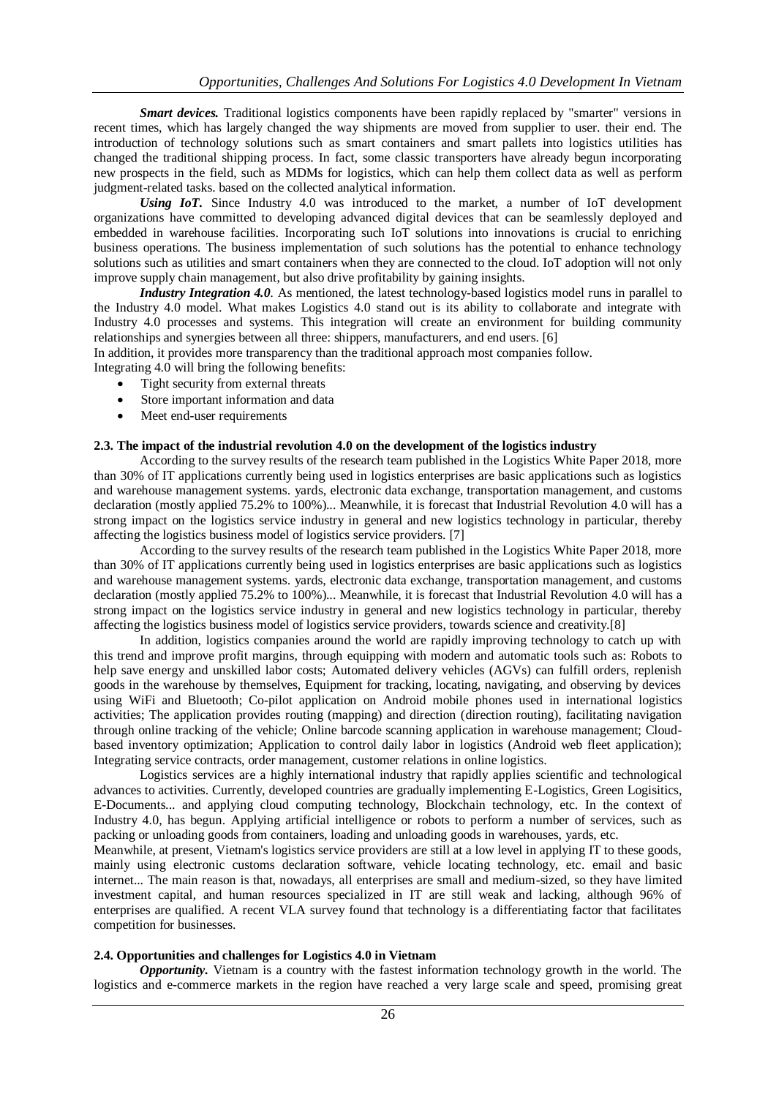*Smart devices.* Traditional logistics components have been rapidly replaced by "smarter" versions in recent times, which has largely changed the way shipments are moved from supplier to user. their end. The introduction of technology solutions such as smart containers and smart pallets into logistics utilities has changed the traditional shipping process. In fact, some classic transporters have already begun incorporating new prospects in the field, such as MDMs for logistics, which can help them collect data as well as perform judgment-related tasks. based on the collected analytical information.

*Using IoT.* Since Industry 4.0 was introduced to the market, a number of IoT development organizations have committed to developing advanced digital devices that can be seamlessly deployed and embedded in warehouse facilities. Incorporating such IoT solutions into innovations is crucial to enriching business operations. The business implementation of such solutions has the potential to enhance technology solutions such as utilities and smart containers when they are connected to the cloud. IoT adoption will not only improve supply chain management, but also drive profitability by gaining insights.

*Industry Integration 4.0.* As mentioned, the latest technology-based logistics model runs in parallel to the Industry 4.0 model. What makes Logistics 4.0 stand out is its ability to collaborate and integrate with Industry 4.0 processes and systems. This integration will create an environment for building community relationships and synergies between all three: shippers, manufacturers, and end users. [6]

In addition, it provides more transparency than the traditional approach most companies follow.

Integrating 4.0 will bring the following benefits:

- Tight security from external threats
- Store important information and data
- Meet end-user requirements

#### **2.3. The impact of the industrial revolution 4.0 on the development of the logistics industry**

According to the survey results of the research team published in the Logistics White Paper 2018, more than 30% of IT applications currently being used in logistics enterprises are basic applications such as logistics and warehouse management systems. yards, electronic data exchange, transportation management, and customs declaration (mostly applied 75.2% to 100%)... Meanwhile, it is forecast that Industrial Revolution 4.0 will has a strong impact on the logistics service industry in general and new logistics technology in particular, thereby affecting the logistics business model of logistics service providers. [7]

According to the survey results of the research team published in the Logistics White Paper 2018, more than 30% of IT applications currently being used in logistics enterprises are basic applications such as logistics and warehouse management systems. yards, electronic data exchange, transportation management, and customs declaration (mostly applied 75.2% to 100%)... Meanwhile, it is forecast that Industrial Revolution 4.0 will has a strong impact on the logistics service industry in general and new logistics technology in particular, thereby affecting the logistics business model of logistics service providers, towards science and creativity.[8]

In addition, logistics companies around the world are rapidly improving technology to catch up with this trend and improve profit margins, through equipping with modern and automatic tools such as: Robots to help save energy and unskilled labor costs; Automated delivery vehicles (AGVs) can fulfill orders, replenish goods in the warehouse by themselves, Equipment for tracking, locating, navigating, and observing by devices using WiFi and Bluetooth; Co-pilot application on Android mobile phones used in international logistics activities; The application provides routing (mapping) and direction (direction routing), facilitating navigation through online tracking of the vehicle; Online barcode scanning application in warehouse management; Cloudbased inventory optimization; Application to control daily labor in logistics (Android web fleet application); Integrating service contracts, order management, customer relations in online logistics.

Logistics services are a highly international industry that rapidly applies scientific and technological advances to activities. Currently, developed countries are gradually implementing E-Logistics, Green Logisitics, E-Documents... and applying cloud computing technology, Blockchain technology, etc. In the context of Industry 4.0, has begun. Applying artificial intelligence or robots to perform a number of services, such as packing or unloading goods from containers, loading and unloading goods in warehouses, yards, etc.

Meanwhile, at present, Vietnam's logistics service providers are still at a low level in applying IT to these goods, mainly using electronic customs declaration software, vehicle locating technology, etc. email and basic internet... The main reason is that, nowadays, all enterprises are small and medium-sized, so they have limited investment capital, and human resources specialized in IT are still weak and lacking, although 96% of enterprises are qualified. A recent VLA survey found that technology is a differentiating factor that facilitates competition for businesses.

# **2.4. Opportunities and challenges for Logistics 4.0 in Vietnam**

*Opportunity.* Vietnam is a country with the fastest information technology growth in the world. The logistics and e-commerce markets in the region have reached a very large scale and speed, promising great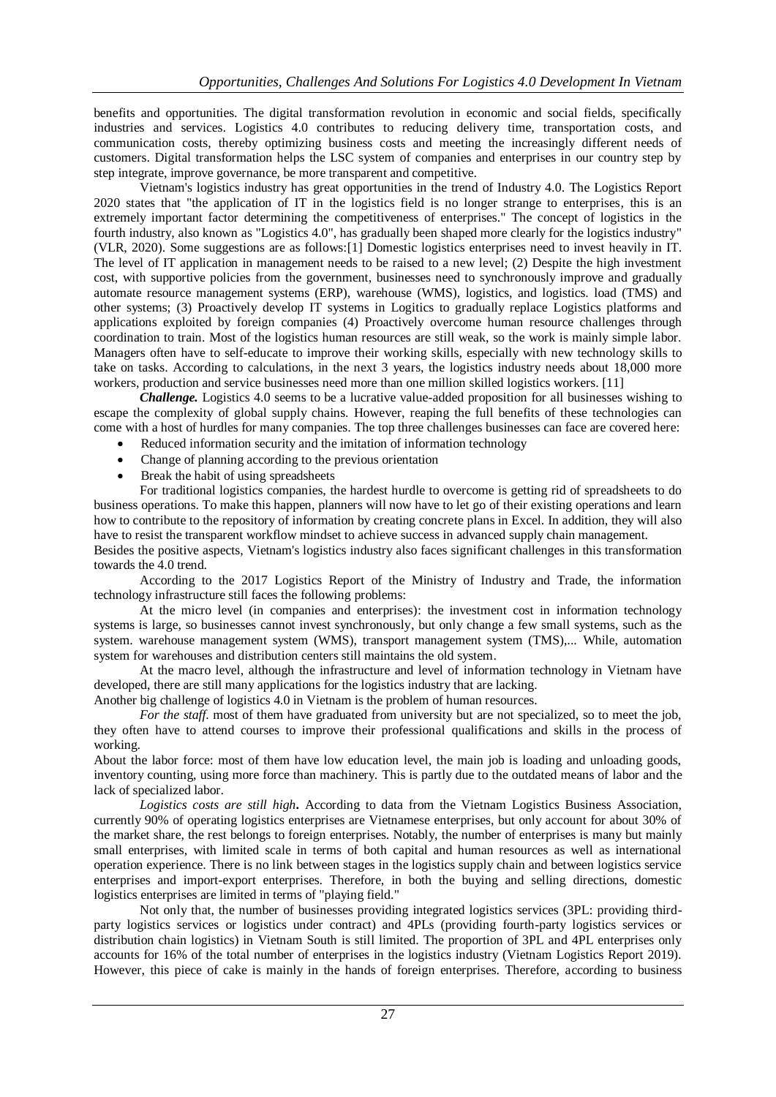benefits and opportunities. The digital transformation revolution in economic and social fields, specifically industries and services. Logistics 4.0 contributes to reducing delivery time, transportation costs, and communication costs, thereby optimizing business costs and meeting the increasingly different needs of customers. Digital transformation helps the LSC system of companies and enterprises in our country step by step integrate, improve governance, be more transparent and competitive.

Vietnam's logistics industry has great opportunities in the trend of Industry 4.0. The Logistics Report 2020 states that "the application of IT in the logistics field is no longer strange to enterprises, this is an extremely important factor determining the competitiveness of enterprises." The concept of logistics in the fourth industry, also known as "Logistics 4.0", has gradually been shaped more clearly for the logistics industry" (VLR, 2020). Some suggestions are as follows:[1] Domestic logistics enterprises need to invest heavily in IT. The level of IT application in management needs to be raised to a new level; (2) Despite the high investment cost, with supportive policies from the government, businesses need to synchronously improve and gradually automate resource management systems (ERP), warehouse (WMS), logistics, and logistics. load (TMS) and other systems; (3) Proactively develop IT systems in Logitics to gradually replace Logistics platforms and applications exploited by foreign companies (4) Proactively overcome human resource challenges through coordination to train. Most of the logistics human resources are still weak, so the work is mainly simple labor. Managers often have to self-educate to improve their working skills, especially with new technology skills to take on tasks. According to calculations, in the next 3 years, the logistics industry needs about 18,000 more workers, production and service businesses need more than one million skilled logistics workers. [11]

*Challenge.* Logistics 4.0 seems to be a lucrative value-added proposition for all businesses wishing to escape the complexity of global supply chains. However, reaping the full benefits of these technologies can come with a host of hurdles for many companies. The top three challenges businesses can face are covered here:

- Reduced information security and the imitation of information technology
- Change of planning according to the previous orientation
- Break the habit of using spreadsheets

For traditional logistics companies, the hardest hurdle to overcome is getting rid of spreadsheets to do business operations. To make this happen, planners will now have to let go of their existing operations and learn how to contribute to the repository of information by creating concrete plans in Excel. In addition, they will also have to resist the transparent workflow mindset to achieve success in advanced supply chain management.

Besides the positive aspects, Vietnam's logistics industry also faces significant challenges in this transformation towards the 4.0 trend.

According to the 2017 Logistics Report of the Ministry of Industry and Trade, the information technology infrastructure still faces the following problems:

At the micro level (in companies and enterprises): the investment cost in information technology systems is large, so businesses cannot invest synchronously, but only change a few small systems, such as the system. warehouse management system (WMS), transport management system (TMS),... While, automation system for warehouses and distribution centers still maintains the old system.

At the macro level, although the infrastructure and level of information technology in Vietnam have developed, there are still many applications for the logistics industry that are lacking.

Another big challenge of logistics 4.0 in Vietnam is the problem of human resources.

*For the staff.* most of them have graduated from university but are not specialized, so to meet the job, they often have to attend courses to improve their professional qualifications and skills in the process of working.

About the labor force: most of them have low education level, the main job is loading and unloading goods, inventory counting, using more force than machinery. This is partly due to the outdated means of labor and the lack of specialized labor.

*Logistics costs are still high***.** According to data from the Vietnam Logistics Business Association, currently 90% of operating logistics enterprises are Vietnamese enterprises, but only account for about 30% of the market share, the rest belongs to foreign enterprises. Notably, the number of enterprises is many but mainly small enterprises, with limited scale in terms of both capital and human resources as well as international operation experience. There is no link between stages in the logistics supply chain and between logistics service enterprises and import-export enterprises. Therefore, in both the buying and selling directions, domestic logistics enterprises are limited in terms of "playing field."

Not only that, the number of businesses providing integrated logistics services (3PL: providing thirdparty logistics services or logistics under contract) and 4PLs (providing fourth-party logistics services or distribution chain logistics) in Vietnam South is still limited. The proportion of 3PL and 4PL enterprises only accounts for 16% of the total number of enterprises in the logistics industry (Vietnam Logistics Report 2019). However, this piece of cake is mainly in the hands of foreign enterprises. Therefore, according to business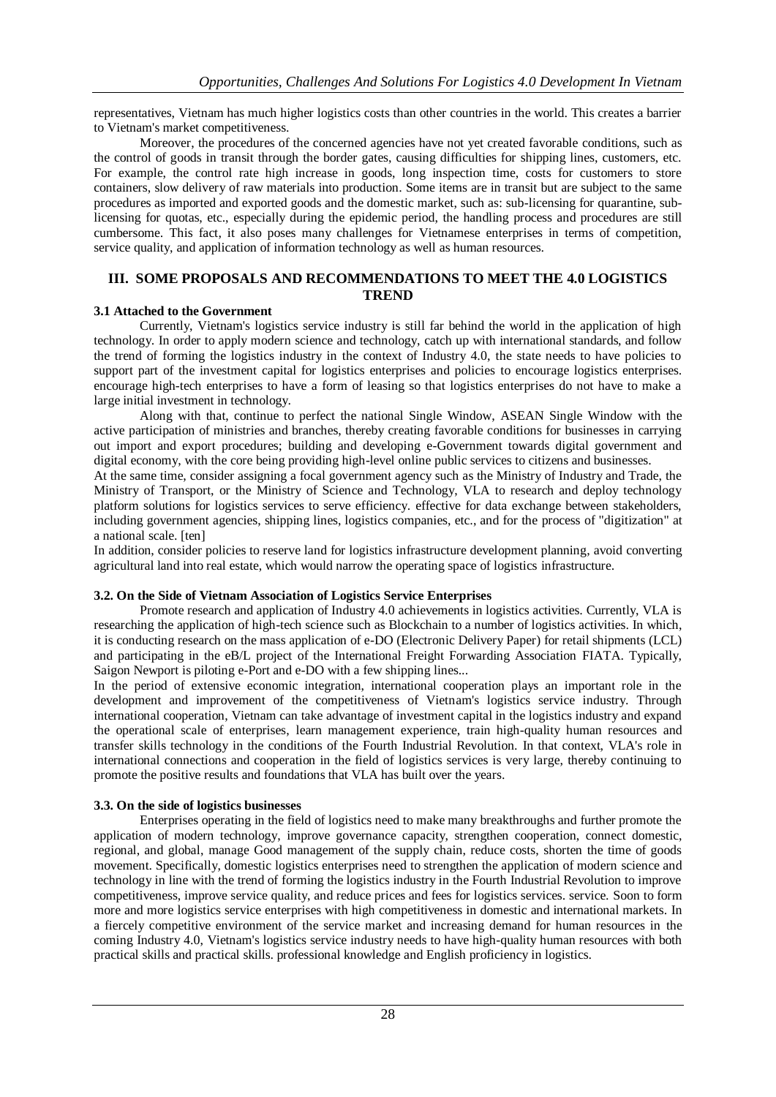representatives, Vietnam has much higher logistics costs than other countries in the world. This creates a barrier to Vietnam's market competitiveness.

Moreover, the procedures of the concerned agencies have not yet created favorable conditions, such as the control of goods in transit through the border gates, causing difficulties for shipping lines, customers, etc. For example, the control rate high increase in goods, long inspection time, costs for customers to store containers, slow delivery of raw materials into production. Some items are in transit but are subject to the same procedures as imported and exported goods and the domestic market, such as: sub-licensing for quarantine, sublicensing for quotas, etc., especially during the epidemic period, the handling process and procedures are still cumbersome. This fact, it also poses many challenges for Vietnamese enterprises in terms of competition, service quality, and application of information technology as well as human resources.

#### **III. SOME PROPOSALS AND RECOMMENDATIONS TO MEET THE 4.0 LOGISTICS TREND**

# **3.1 Attached to the Government**

Currently, Vietnam's logistics service industry is still far behind the world in the application of high technology. In order to apply modern science and technology, catch up with international standards, and follow the trend of forming the logistics industry in the context of Industry 4.0, the state needs to have policies to support part of the investment capital for logistics enterprises and policies to encourage logistics enterprises. encourage high-tech enterprises to have a form of leasing so that logistics enterprises do not have to make a large initial investment in technology.

Along with that, continue to perfect the national Single Window, ASEAN Single Window with the active participation of ministries and branches, thereby creating favorable conditions for businesses in carrying out import and export procedures; building and developing e-Government towards digital government and digital economy, with the core being providing high-level online public services to citizens and businesses.

At the same time, consider assigning a focal government agency such as the Ministry of Industry and Trade, the Ministry of Transport, or the Ministry of Science and Technology, VLA to research and deploy technology platform solutions for logistics services to serve efficiency. effective for data exchange between stakeholders, including government agencies, shipping lines, logistics companies, etc., and for the process of "digitization" at a national scale. [ten]

In addition, consider policies to reserve land for logistics infrastructure development planning, avoid converting agricultural land into real estate, which would narrow the operating space of logistics infrastructure.

# **3.2. On the Side of Vietnam Association of Logistics Service Enterprises**

Promote research and application of Industry 4.0 achievements in logistics activities. Currently, VLA is researching the application of high-tech science such as Blockchain to a number of logistics activities. In which, it is conducting research on the mass application of e-DO (Electronic Delivery Paper) for retail shipments (LCL) and participating in the eB/L project of the International Freight Forwarding Association FIATA. Typically, Saigon Newport is piloting e-Port and e-DO with a few shipping lines...

In the period of extensive economic integration, international cooperation plays an important role in the development and improvement of the competitiveness of Vietnam's logistics service industry. Through international cooperation, Vietnam can take advantage of investment capital in the logistics industry and expand the operational scale of enterprises, learn management experience, train high-quality human resources and transfer skills technology in the conditions of the Fourth Industrial Revolution. In that context, VLA's role in international connections and cooperation in the field of logistics services is very large, thereby continuing to promote the positive results and foundations that VLA has built over the years.

# **3.3. On the side of logistics businesses**

Enterprises operating in the field of logistics need to make many breakthroughs and further promote the application of modern technology, improve governance capacity, strengthen cooperation, connect domestic, regional, and global, manage Good management of the supply chain, reduce costs, shorten the time of goods movement. Specifically, domestic logistics enterprises need to strengthen the application of modern science and technology in line with the trend of forming the logistics industry in the Fourth Industrial Revolution to improve competitiveness, improve service quality, and reduce prices and fees for logistics services. service. Soon to form more and more logistics service enterprises with high competitiveness in domestic and international markets. In a fiercely competitive environment of the service market and increasing demand for human resources in the coming Industry 4.0, Vietnam's logistics service industry needs to have high-quality human resources with both practical skills and practical skills. professional knowledge and English proficiency in logistics.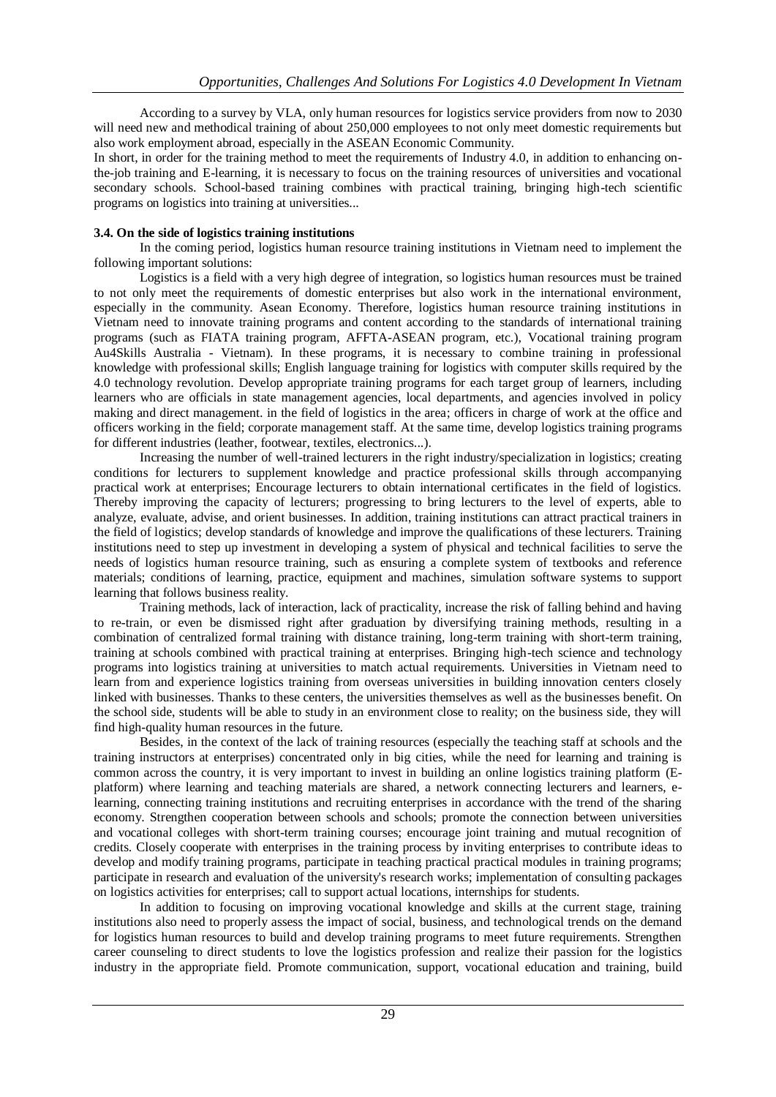According to a survey by VLA, only human resources for logistics service providers from now to 2030 will need new and methodical training of about 250,000 employees to not only meet domestic requirements but also work employment abroad, especially in the ASEAN Economic Community.

In short, in order for the training method to meet the requirements of Industry 4.0, in addition to enhancing onthe-job training and E-learning, it is necessary to focus on the training resources of universities and vocational secondary schools. School-based training combines with practical training, bringing high-tech scientific programs on logistics into training at universities...

# **3.4. On the side of logistics training institutions**

In the coming period, logistics human resource training institutions in Vietnam need to implement the following important solutions:

Logistics is a field with a very high degree of integration, so logistics human resources must be trained to not only meet the requirements of domestic enterprises but also work in the international environment, especially in the community. Asean Economy. Therefore, logistics human resource training institutions in Vietnam need to innovate training programs and content according to the standards of international training programs (such as FIATA training program, AFFTA-ASEAN program, etc.), Vocational training program Au4Skills Australia - Vietnam). In these programs, it is necessary to combine training in professional knowledge with professional skills; English language training for logistics with computer skills required by the 4.0 technology revolution. Develop appropriate training programs for each target group of learners, including learners who are officials in state management agencies, local departments, and agencies involved in policy making and direct management. in the field of logistics in the area; officers in charge of work at the office and officers working in the field; corporate management staff. At the same time, develop logistics training programs for different industries (leather, footwear, textiles, electronics...).

Increasing the number of well-trained lecturers in the right industry/specialization in logistics; creating conditions for lecturers to supplement knowledge and practice professional skills through accompanying practical work at enterprises; Encourage lecturers to obtain international certificates in the field of logistics. Thereby improving the capacity of lecturers; progressing to bring lecturers to the level of experts, able to analyze, evaluate, advise, and orient businesses. In addition, training institutions can attract practical trainers in the field of logistics; develop standards of knowledge and improve the qualifications of these lecturers. Training institutions need to step up investment in developing a system of physical and technical facilities to serve the needs of logistics human resource training, such as ensuring a complete system of textbooks and reference materials; conditions of learning, practice, equipment and machines, simulation software systems to support learning that follows business reality.

Training methods, lack of interaction, lack of practicality, increase the risk of falling behind and having to re-train, or even be dismissed right after graduation by diversifying training methods, resulting in a combination of centralized formal training with distance training, long-term training with short-term training, training at schools combined with practical training at enterprises. Bringing high-tech science and technology programs into logistics training at universities to match actual requirements. Universities in Vietnam need to learn from and experience logistics training from overseas universities in building innovation centers closely linked with businesses. Thanks to these centers, the universities themselves as well as the businesses benefit. On the school side, students will be able to study in an environment close to reality; on the business side, they will find high-quality human resources in the future.

Besides, in the context of the lack of training resources (especially the teaching staff at schools and the training instructors at enterprises) concentrated only in big cities, while the need for learning and training is common across the country, it is very important to invest in building an online logistics training platform (Eplatform) where learning and teaching materials are shared, a network connecting lecturers and learners, elearning, connecting training institutions and recruiting enterprises in accordance with the trend of the sharing economy. Strengthen cooperation between schools and schools; promote the connection between universities and vocational colleges with short-term training courses; encourage joint training and mutual recognition of credits. Closely cooperate with enterprises in the training process by inviting enterprises to contribute ideas to develop and modify training programs, participate in teaching practical practical modules in training programs; participate in research and evaluation of the university's research works; implementation of consulting packages on logistics activities for enterprises; call to support actual locations, internships for students.

In addition to focusing on improving vocational knowledge and skills at the current stage, training institutions also need to properly assess the impact of social, business, and technological trends on the demand for logistics human resources to build and develop training programs to meet future requirements. Strengthen career counseling to direct students to love the logistics profession and realize their passion for the logistics industry in the appropriate field. Promote communication, support, vocational education and training, build